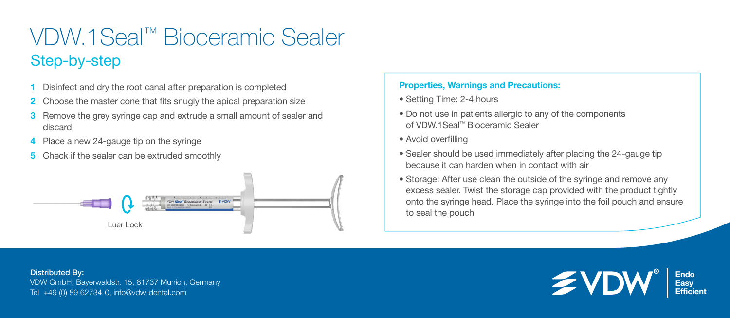## VDW.1Seal™ Bioceramic Sealer Step-by-step

- 1 Disinfect and dry the root canal after preparation is completed
- 2 Choose the master cone that fits snugly the apical preparation size
- Remove the grey syringe cap and extrude a small amount of sealer and discard
- 4 Place a new 24-gauge tip on the syringe
- 5 Check if the sealer can be extruded smoothly



## Properties, Warnings and Precautions:

- Setting Time: 2-4 hours
- Do not use in patients allergic to any of the components of VDW.1Seal™ Bioceramic Sealer
- Avoid overfilling
- Sealer should be used immediately after placing the 24-gauge tip because it can harden when in contact with air
- Storage: After use clean the outside of the syringe and remove any excess sealer. Twist the storage cap provided with the product tightly onto the syringe head. Place the syringe into the foil pouch and ensure to seal the pouch

Distributed By: VDW GmbH, Bayerwaldstr. 15, 81737 Munich, Germany Tel +49 (0) 89 62734-0, info@vdw-dental.com